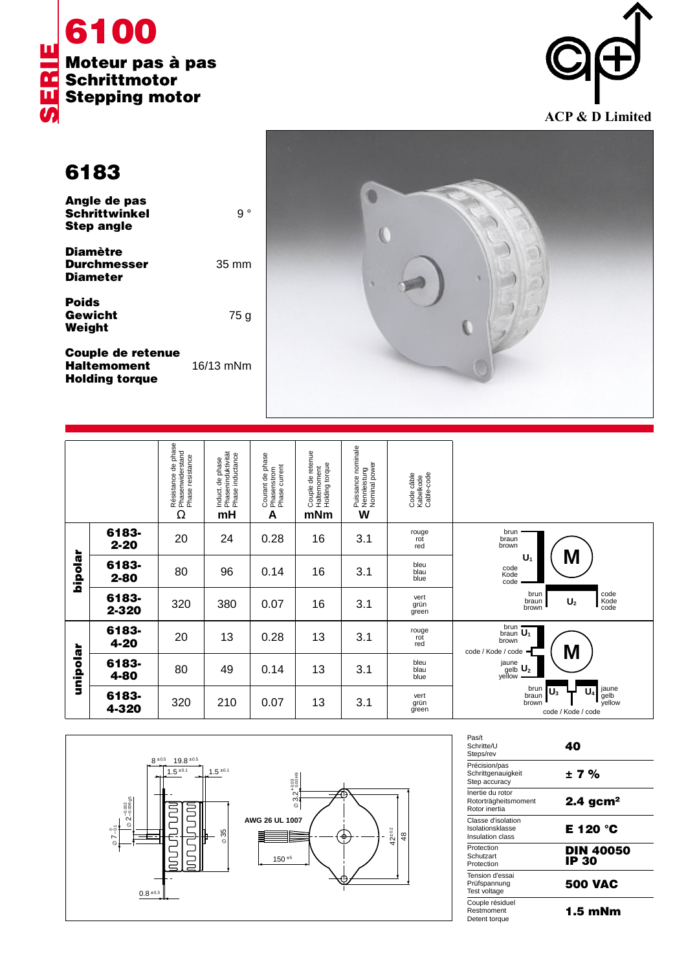



**6183**

| Angle de pas<br><b>Schrittwinkel</b><br><b>Step angle</b> | $\circ$         |
|-----------------------------------------------------------|-----------------|
| <b>Diamètre</b><br><b>Durchmesser</b><br><b>Diameter</b>  | $35 \text{ mm}$ |
| <b>Poids</b><br>Gewicht<br>Weight                         | 75 g            |
|                                                           |                 |

**Couple de retenue Haltemoment** 16/13 mNm **Holding torque**



|          |                   | Résistance de phase<br>Phasenwiderstand<br>Phase resistance<br>Ω | Induct. de phase<br>Phaseninduktivität<br>Phase inductance<br>mH | Courant de phase<br>Phasenstrom<br>Phase current<br>A | Couple de retenue<br>Haltemoment<br>Holding torque<br>mNm | , Puissance nominale<br>, Nennleistung<br>, Nominal power<br>W | Code câble<br>Kabelkode<br>Cable-code |                                                                                                 |
|----------|-------------------|------------------------------------------------------------------|------------------------------------------------------------------|-------------------------------------------------------|-----------------------------------------------------------|----------------------------------------------------------------|---------------------------------------|-------------------------------------------------------------------------------------------------|
| hipolar  | 6183-<br>$2 - 20$ | 20                                                               | 24                                                               | 0.28                                                  | 16                                                        | 3.1                                                            | rouge<br>rot<br>red                   | brun<br>braun<br>brown                                                                          |
|          | 6183-<br>$2 - 80$ | 80                                                               | 96                                                               | 0.14                                                  | 16                                                        | 3.1                                                            | bleu<br>blau<br>blue                  | M<br>U,<br>code<br>Kode<br>code                                                                 |
|          | 6183-<br>2-320    | 320                                                              | 380                                                              | 0.07                                                  | 16                                                        | 3.1                                                            | vert<br>grün<br>green                 | code<br>brun<br>Kode<br>code<br>braun<br>U <sub>2</sub><br>brown                                |
| unipolar | 6183-<br>4-20     | 20                                                               | 13                                                               | 0.28                                                  | 13                                                        | 3.1                                                            | rouge<br>rot<br>red                   | brun<br>braun $\overline{U_1}$<br>brown<br>M<br>code / Kode / code                              |
|          | 6183-<br>4-80     | 80                                                               | 49                                                               | 0.14                                                  | 13                                                        | 3.1                                                            | bleu<br>blau<br>blue                  | $\overset{jaune}{\underset{yellow}{\text{gelb}}}\ \underline{\text{U}_2}$                       |
|          | 6183-<br>4-320    | 320                                                              | 210                                                              | 0.07                                                  | 13                                                        | 3.1                                                            | vert<br>grün<br>green                 | jaune<br>brun<br>U,<br>$\mathsf{U}_3$<br>gelb<br>yellow<br>braun<br>brown<br>code / Kode / code |



| Pas/t<br>Schritte/U<br>Steps/rev                           | 40                        |
|------------------------------------------------------------|---------------------------|
| Précision/pas<br>Schrittgenauigkeit<br>Step accuracy       | ±7%                       |
| Inertie du rotor<br>Rotorträgheitsmoment<br>Rotor inertia  | $2.4$ gcm <sup>2</sup>    |
| Classe d'isolation<br>Isolationsklasse<br>Insulation class | E 120 °C                  |
| Protection<br>Schutzart<br>Protection                      | <b>DIN 40050</b><br>IP 30 |
| Tension d'essai<br>Prüfspannung<br>Test voltage            | <b>500 VAC</b>            |
| Couple résiduel<br>Restmoment<br>Detent torque             | 1.5 mNm                   |